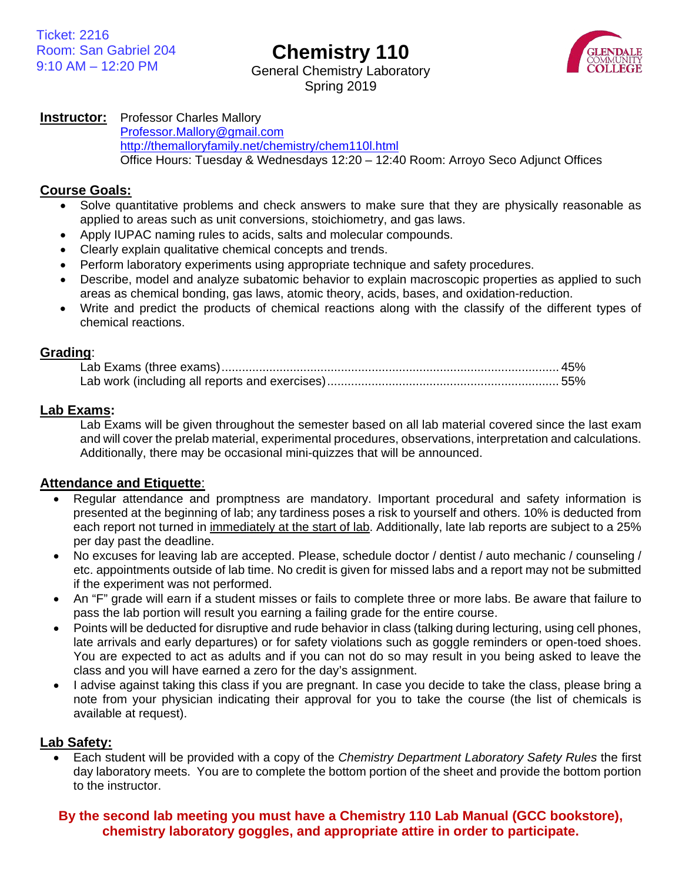**Chemistry 110**



General Chemistry Laboratory Spring 2019

## **Instructor:** Professor Charles Mallory

[Professor.Mallory@gmail.com](mailto:Professor.Mallory@gmail.com) <http://themalloryfamily.net/chemistry/chem110l.html> Office Hours: Tuesday & Wednesdays 12:20 – 12:40 Room: Arroyo Seco Adjunct Offices

#### **Course Goals:**

- Solve quantitative problems and check answers to make sure that they are physically reasonable as applied to areas such as unit conversions, stoichiometry, and gas laws.
- Apply IUPAC naming rules to acids, salts and molecular compounds.
- Clearly explain qualitative chemical concepts and trends.
- Perform laboratory experiments using appropriate technique and safety procedures.
- Describe, model and analyze subatomic behavior to explain macroscopic properties as applied to such areas as chemical bonding, gas laws, atomic theory, acids, bases, and oxidation-reduction.
- Write and predict the products of chemical reactions along with the classify of the different types of chemical reactions.

#### **Grading**:

### **Lab Exams:**

Lab Exams will be given throughout the semester based on all lab material covered since the last exam and will cover the prelab material, experimental procedures, observations, interpretation and calculations. Additionally, there may be occasional mini-quizzes that will be announced.

### **Attendance and Etiquette**:

- Regular attendance and promptness are mandatory. Important procedural and safety information is presented at the beginning of lab; any tardiness poses a risk to yourself and others. 10% is deducted from each report not turned in immediately at the start of lab. Additionally, late lab reports are subject to a 25% per day past the deadline.
- No excuses for leaving lab are accepted. Please, schedule doctor / dentist / auto mechanic / counseling / etc. appointments outside of lab time. No credit is given for missed labs and a report may not be submitted if the experiment was not performed.
- An "F" grade will earn if a student misses or fails to complete three or more labs. Be aware that failure to pass the lab portion will result you earning a failing grade for the entire course.
- Points will be deducted for disruptive and rude behavior in class (talking during lecturing, using cell phones, late arrivals and early departures) or for safety violations such as goggle reminders or open-toed shoes. You are expected to act as adults and if you can not do so may result in you being asked to leave the class and you will have earned a zero for the day's assignment.
- I advise against taking this class if you are pregnant. In case you decide to take the class, please bring a note from your physician indicating their approval for you to take the course (the list of chemicals is available at request).

### **Lab Safety:**

• Each student will be provided with a copy of the *Chemistry Department Laboratory Safety Rules* the first day laboratory meets. You are to complete the bottom portion of the sheet and provide the bottom portion to the instructor.

## **By the second lab meeting you must have a Chemistry 110 Lab Manual (GCC bookstore), chemistry laboratory goggles, and appropriate attire in order to participate.**